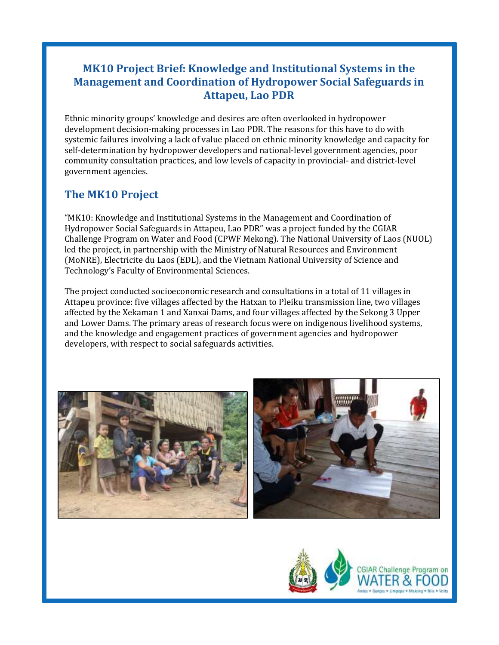# **MK10 Project Brief: Knowledge and Institutional Systems in the Management and Coordination of Hydropower Social Safeguards in Attapeu, Lao PDR**

Ethnic minority groups' knowledge and desires are often overlooked in hydropower development decision-making processes in Lao PDR. The reasons for this have to do with systemic failures involving a lack of value placed on ethnic minority knowledge and capacity for self-determination by hydropower developers and national-level government agencies, poor community consultation practices, and low levels of capacity in provincial- and district-level government agencies.

## **The MK10 Project**

"MK10: Knowledge and Institutional Systems in the Management and Coordination of Hydropower Social Safeguards in Attapeu, Lao PDR" was a project funded by the CGIAR Challenge Program on Water and Food (CPWF Mekong). The National University of Laos (NUOL) led the project, in partnership with the Ministry of Natural Resources and Environment (MoNRE), Electricite du Laos (EDL), and the Vietnam National University of Science and Technology's Faculty of Environmental Sciences.

The project conducted socioeconomic research and consultations in a total of 11 villages in Attapeu province: five villages affected by the Hatxan to Pleiku transmission line, two villages affected by the Xekaman 1 and Xanxai Dams, and four villages affected by the Sekong 3 Upper and Lower Dams. The primary areas of research focus were on indigenous livelihood systems, and the knowledge and engagement practices of government agencies and hydropower developers, with respect to social safeguards activities.



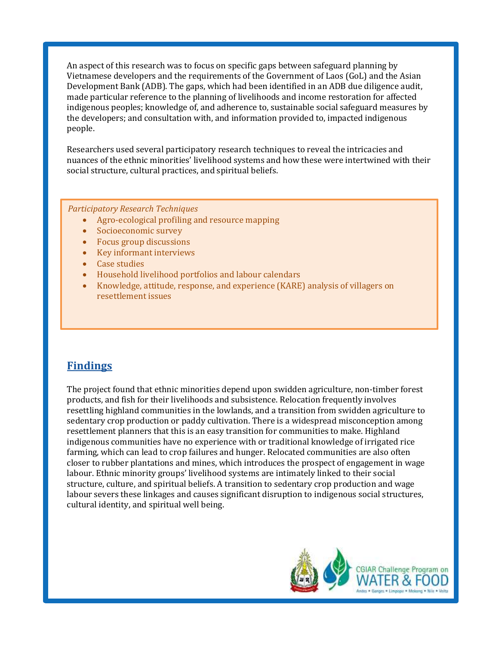An aspect of this research was to focus on specific gaps between safeguard planning by Vietnamese developers and the requirements of the Government of Laos (GoL) and the Asian Development Bank (ADB). The gaps, which had been identified in an ADB due diligence audit, made particular reference to the planning of livelihoods and income restoration for affected indigenous peoples; knowledge of, and adherence to, sustainable social safeguard measures by the developers; and consultation with, and information provided to, impacted indigenous people.

Researchers used several participatory research techniques to reveal the intricacies and nuances of the ethnic minorities' livelihood systems and how these were intertwined with their social structure, cultural practices, and spiritual beliefs.

*Participatory Research Techniques*

- Agro-ecological profiling and resource mapping
- Socioeconomic survey
- Focus group discussions
- Key informant interviews
- Case studies
- Household livelihood portfolios and labour calendars
- Knowledge, attitude, response, and experience (KARE) analysis of villagers on resettlement issues

### **Findings**

The project found that ethnic minorities depend upon swidden agriculture, non-timber forest products, and fish for their livelihoods and subsistence. Relocation frequently involves resettling highland communities in the lowlands, and a transition from swidden agriculture to sedentary crop production or paddy cultivation. There is a widespread misconception among resettlement planners that this is an easy transition for communities to make. Highland indigenous communities have no experience with or traditional knowledge of irrigated rice farming, which can lead to crop failures and hunger. Relocated communities are also often closer to rubber plantations and mines, which introduces the prospect of engagement in wage labour. Ethnic minority groups' livelihood systems are intimately linked to their social structure, culture, and spiritual beliefs. A transition to sedentary crop production and wage labour severs these linkages and causes significant disruption to indigenous social structures, cultural identity, and spiritual well being.

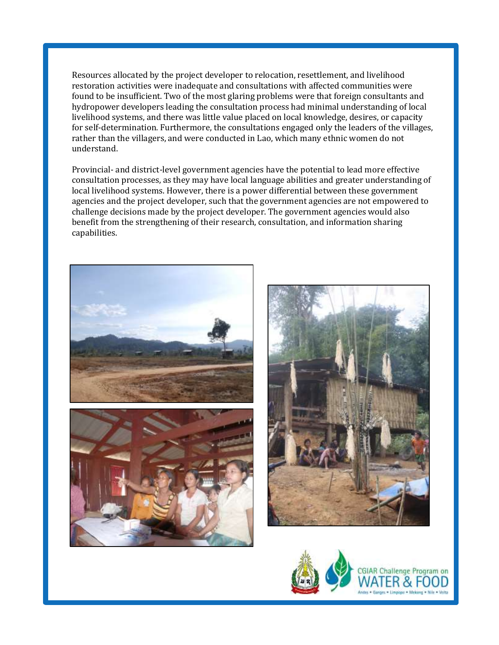Resources allocated by the project developer to relocation, resettlement, and livelihood restoration activities were inadequate and consultations with affected communities were found to be insufficient. Two of the most glaring problems were that foreign consultants and hydropower developers leading the consultation process had minimal understanding of local livelihood systems, and there was little value placed on local knowledge, desires, or capacity for self-determination. Furthermore, the consultations engaged only the leaders of the villages, rather than the villagers, and were conducted in Lao, which many ethnic women do not understand.

Provincial- and district-level government agencies have the potential to lead more effective consultation processes, as they may have local language abilities and greater understanding of local livelihood systems. However, there is a power differential between these government agencies and the project developer, such that the government agencies are not empowered to challenge decisions made by the project developer. The government agencies would also benefit from the strengthening of their research, consultation, and information sharing capabilities.